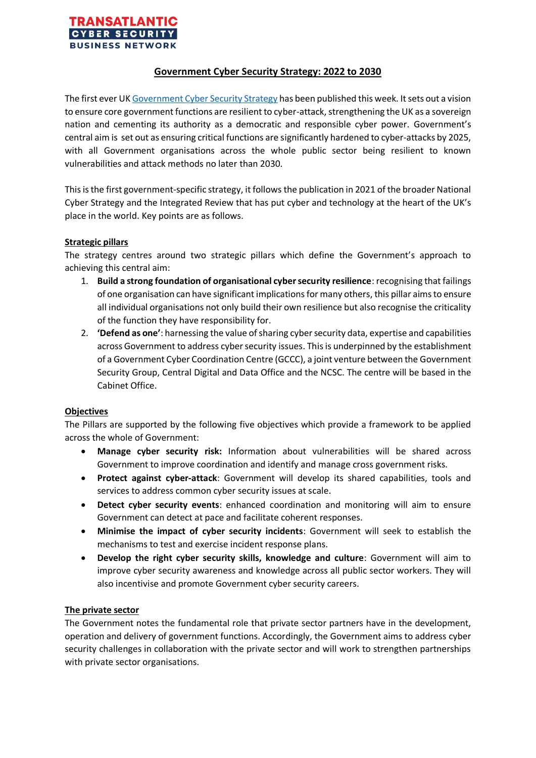

# **Government Cyber Security Strategy: 2022 to 2030**

The first ever UK Government [Cyber Security Strategy](https://www.gov.uk/government/publications/government-cyber-security-strategy-2022-to-2030) has been published this week. It sets out a vision to ensure core government functions are resilient to cyber-attack, strengthening the UK as a sovereign nation and cementing its authority as a democratic and responsible cyber power. Government's central aim is set out as ensuring critical functions are significantly hardened to cyber-attacks by 2025, with all Government organisations across the whole public sector being resilient to known vulnerabilities and attack methods no later than 2030.

This is the first government-specific strategy, it follows the publication in 2021 of the broader National Cyber Strategy and the Integrated Review that has put cyber and technology at the heart of the UK's place in the world. Key points are as follows.

#### **Strategic pillars**

The strategy centres around two strategic pillars which define the Government's approach to achieving this central aim:

- 1. **Build a strong foundation of organisational cyber security resilience**: recognising that failings of one organisation can have significant implications for many others, this pillar aims to ensure all individual organisations not only build their own resilience but also recognise the criticality of the function they have responsibility for.
- 2. **'Defend as one'**: harnessing the value of sharing cyber security data, expertise and capabilities across Government to address cyber security issues. This is underpinned by the establishment of a Government Cyber Coordination Centre (GCCC), a joint venture between the Government Security Group, Central Digital and Data Office and the NCSC. The centre will be based in the Cabinet Office.

#### **Objectives**

The Pillars are supported by the following five objectives which provide a framework to be applied across the whole of Government:

- **Manage cyber security risk:** Information about vulnerabilities will be shared across Government to improve coordination and identify and manage cross government risks.
- **Protect against cyber-attack**: Government will develop its shared capabilities, tools and services to address common cyber security issues at scale.
- **Detect cyber security events**: enhanced coordination and monitoring will aim to ensure Government can detect at pace and facilitate coherent responses.
- **Minimise the impact of cyber security incidents**: Government will seek to establish the mechanisms to test and exercise incident response plans.
- **Develop the right cyber security skills, knowledge and culture**: Government will aim to improve cyber security awareness and knowledge across all public sector workers. They will also incentivise and promote Government cyber security careers.

#### **The private sector**

The Government notes the fundamental role that private sector partners have in the development, operation and delivery of government functions. Accordingly, the Government aims to address cyber security challenges in collaboration with the private sector and will work to strengthen partnerships with private sector organisations.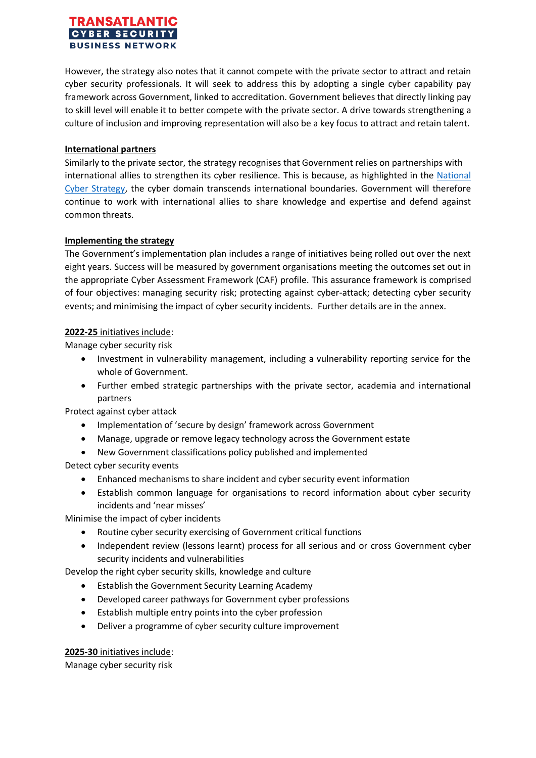# TRANSATLANTIC **BER SECURI BUSINESS NETWORK**

However, the strategy also notes that it cannot compete with the private sector to attract and retain cyber security professionals. It will seek to address this by adopting a single cyber capability pay framework across Government, linked to accreditation. Government believes that directly linking pay to skill level will enable it to better compete with the private sector. A drive towards strengthening a culture of inclusion and improving representation will also be a key focus to attract and retain talent.

# **International partners**

Similarly to the private sector, the strategy recognises that Government relies on partnerships with international allies to strengthen its cyber resilience. This is because, as highlighted in the National Cyber [Strategy,](https://www.gov.uk/government/publications/national-cyber-strategy-2022/national-cyber-security-strategy-2022) the cyber domain transcends international boundaries. Government will therefore continue to work with international allies to share knowledge and expertise and defend against common threats.

#### **Implementing the strategy**

The Government's implementation plan includes a range of initiatives being rolled out over the next eight years. Success will be measured by government organisations meeting the outcomes set out in the appropriate Cyber Assessment Framework (CAF) profile. This assurance framework is comprised of four objectives: managing security risk; protecting against cyber-attack; detecting cyber security events; and minimising the impact of cyber security incidents. Further details are in the annex.

# **2022-25** initiatives include:

Manage cyber security risk

- Investment in vulnerability management, including a vulnerability reporting service for the whole of Government.
- Further embed strategic partnerships with the private sector, academia and international partners

Protect against cyber attack

- Implementation of 'secure by design' framework across Government
- Manage, upgrade or remove legacy technology across the Government estate
- New Government classifications policy published and implemented

Detect cyber security events

- Enhanced mechanisms to share incident and cyber security event information
- Establish common language for organisations to record information about cyber security incidents and 'near misses'

Minimise the impact of cyber incidents

- Routine cyber security exercising of Government critical functions
- Independent review (lessons learnt) process for all serious and or cross Government cyber security incidents and vulnerabilities

Develop the right cyber security skills, knowledge and culture

- Establish the Government Security Learning Academy
- Developed career pathways for Government cyber professions
- Establish multiple entry points into the cyber profession
- Deliver a programme of cyber security culture improvement

# **2025-30** initiatives include:

Manage cyber security risk